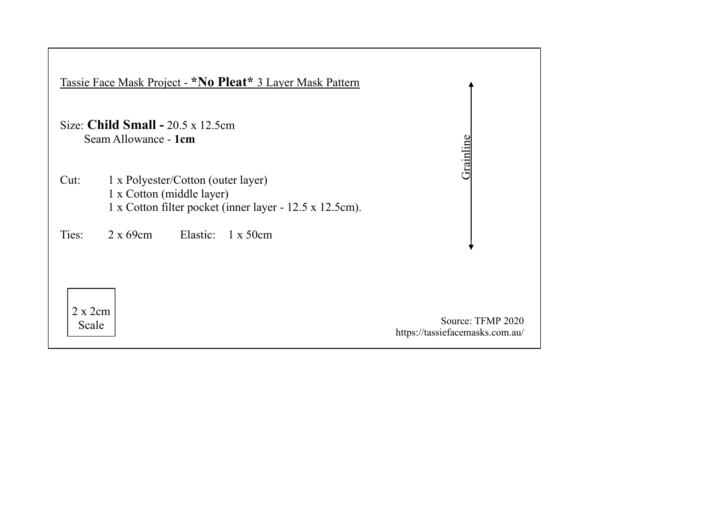|                   | Tassie Face Mask Project - *No Pleat* 3 Layer Mask Pattern                                                                 |                                                      |
|-------------------|----------------------------------------------------------------------------------------------------------------------------|------------------------------------------------------|
|                   | Size: Child Small - $20.5 \times 12.5$ cm<br>Seam Allowance - 1cm                                                          |                                                      |
|                   |                                                                                                                            | Grainlin                                             |
| Cut:              | 1 x Polyester/Cotton (outer layer)<br>1 x Cotton (middle layer)<br>1 x Cotton filter pocket (inner layer - 12.5 x 12.5cm). |                                                      |
| Ties:             | $2 \times 69$ cm<br>Elastic:<br>$1 \times 50$ cm                                                                           |                                                      |
|                   |                                                                                                                            |                                                      |
| 2 x 2 cm<br>Scale |                                                                                                                            | Source: TFMP 2020<br>https://tassiefacemasks.com.au/ |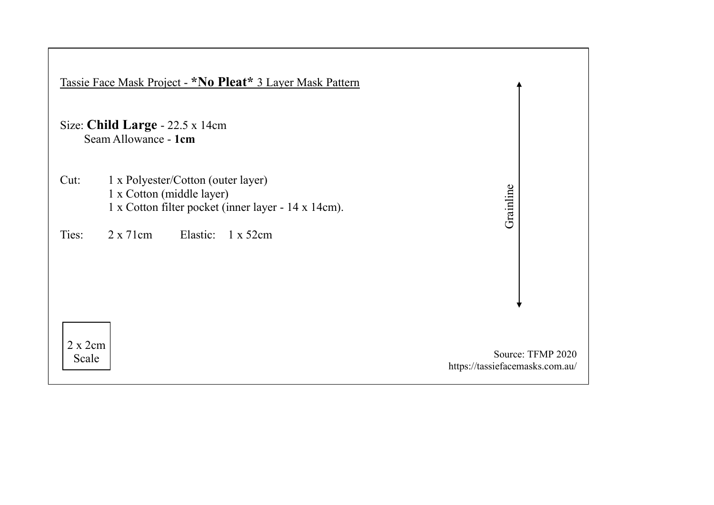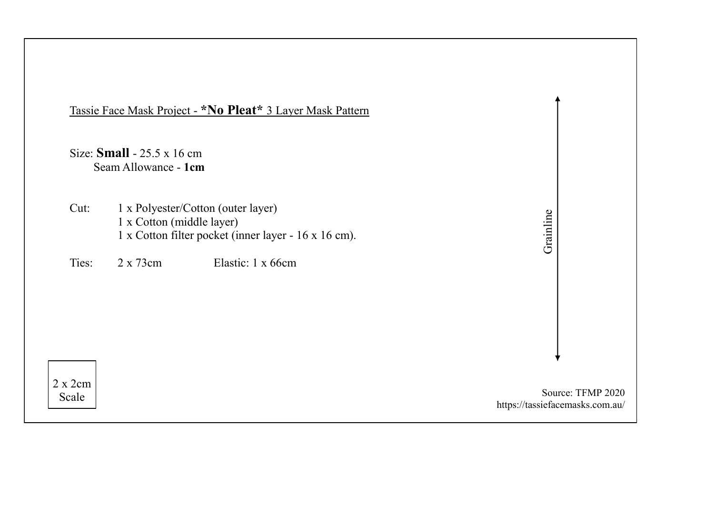|                   |                                                           | Tassie Face Mask Project - *No Pleat* 3 Layer Mask Pattern                                                      |                                                      |
|-------------------|-----------------------------------------------------------|-----------------------------------------------------------------------------------------------------------------|------------------------------------------------------|
|                   | Size: $Small - 25.5 \times 16$ cm<br>Seam Allowance - 1cm |                                                                                                                 |                                                      |
| Cut:<br>Ties:     | 1 x Cotton (middle layer)<br>$2 \times 73$ cm             | 1 x Polyester/Cotton (outer layer)<br>1 x Cotton filter pocket (inner layer - 16 x 16 cm).<br>Elastic: 1 x 66cm | Grainline                                            |
|                   |                                                           |                                                                                                                 |                                                      |
| 2 x 2 cm<br>Scale |                                                           |                                                                                                                 | Source: TFMP 2020<br>https://tassiefacemasks.com.au/ |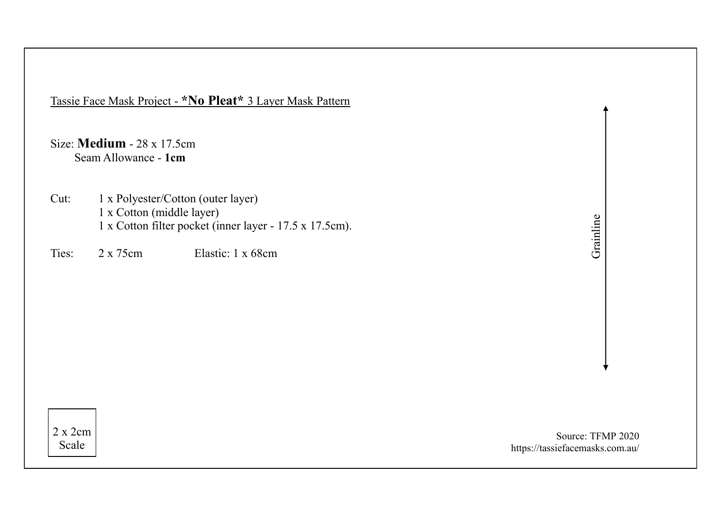Tassie Face Mask Project - **\*No Pleat\*** 3 Layer Mask Pattern

Size: **Medium** - 28 x 17.5cm Seam Allowance - **1cm**

Cut: 1 x Polyester/Cotton (outer layer) 1 x Cotton (middle layer) 1 x Cotton filter pocket (inner layer - 17.5 x 17.5cm).

Ties: 2 x 75cm Elastic: 1 x 68cm

Grainline

2 x 2cm Scale

Source: TFMP 2020 https://tassiefacemasks.com.au/